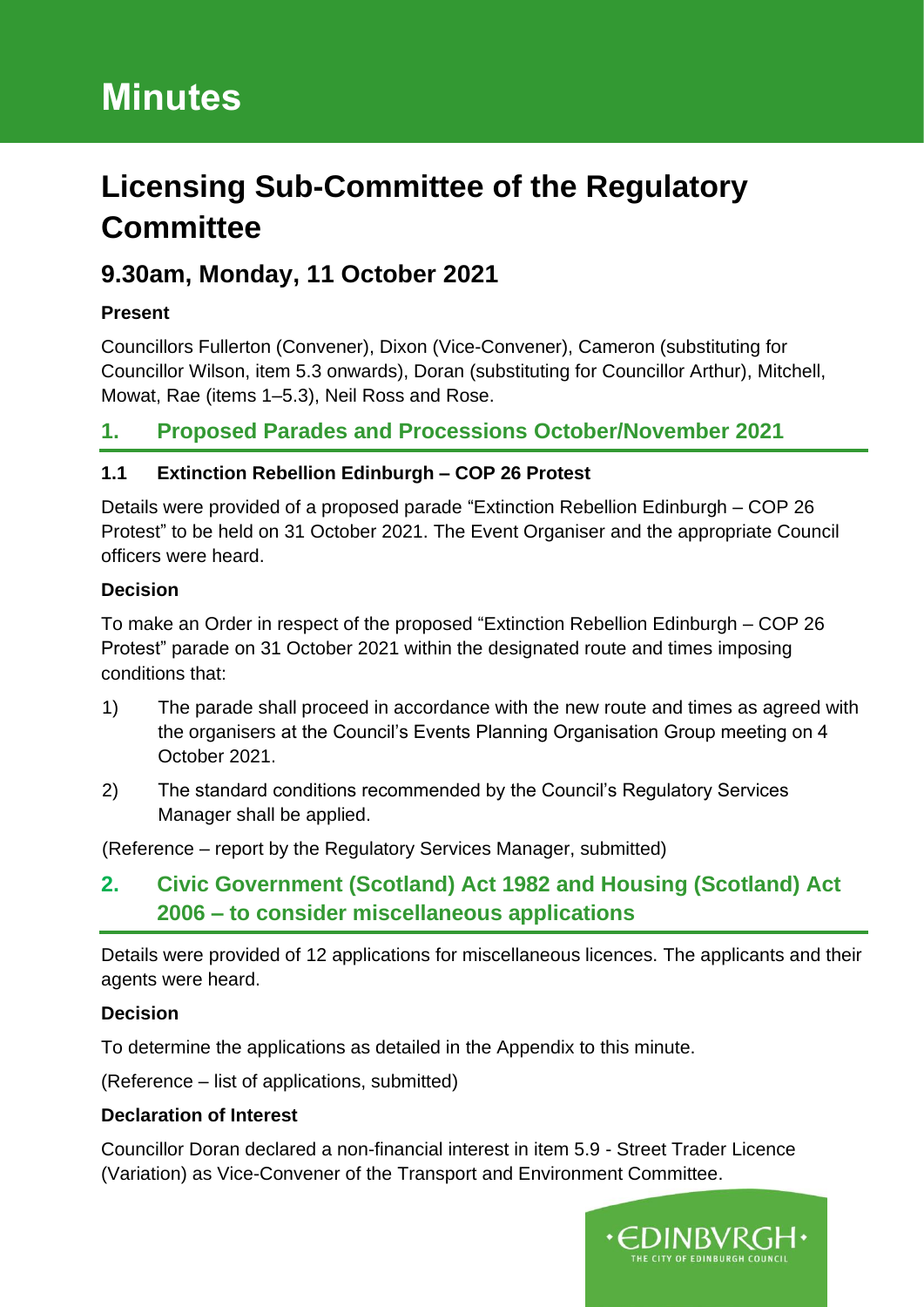# **Minutes**

# **Licensing Sub-Committee of the Regulatory Committee**

# **9.30am, Monday, 11 October 2021**

#### **Present**

Councillors Fullerton (Convener), Dixon (Vice-Convener), Cameron (substituting for Councillor Wilson, item 5.3 onwards), Doran (substituting for Councillor Arthur), Mitchell, Mowat, Rae (items 1–5.3), Neil Ross and Rose.

### **1. Proposed Parades and Processions October/November 2021**

#### **1.1 Extinction Rebellion Edinburgh – COP 26 Protest**

Details were provided of a proposed parade "Extinction Rebellion Edinburgh – COP 26 Protest" to be held on 31 October 2021. The Event Organiser and the appropriate Council officers were heard.

#### **Decision**

To make an Order in respect of the proposed "Extinction Rebellion Edinburgh – COP 26 Protest" parade on 31 October 2021 within the designated route and times imposing conditions that:

- 1) The parade shall proceed in accordance with the new route and times as agreed with the organisers at the Council's Events Planning Organisation Group meeting on 4 October 2021.
- 2) The standard conditions recommended by the Council's Regulatory Services Manager shall be applied.

(Reference – report by the Regulatory Services Manager, submitted)

## **2. Civic Government (Scotland) Act 1982 and Housing (Scotland) Act 2006 – to consider miscellaneous applications**

Details were provided of 12 applications for miscellaneous licences. The applicants and their agents were heard.

#### **Decision**

To determine the applications as detailed in the Appendix to this minute.

(Reference – list of applications, submitted)

#### **Declaration of Interest**

Councillor Doran declared a non-financial interest in item 5.9 - Street Trader Licence (Variation) as Vice-Convener of the Transport and Environment Committee.

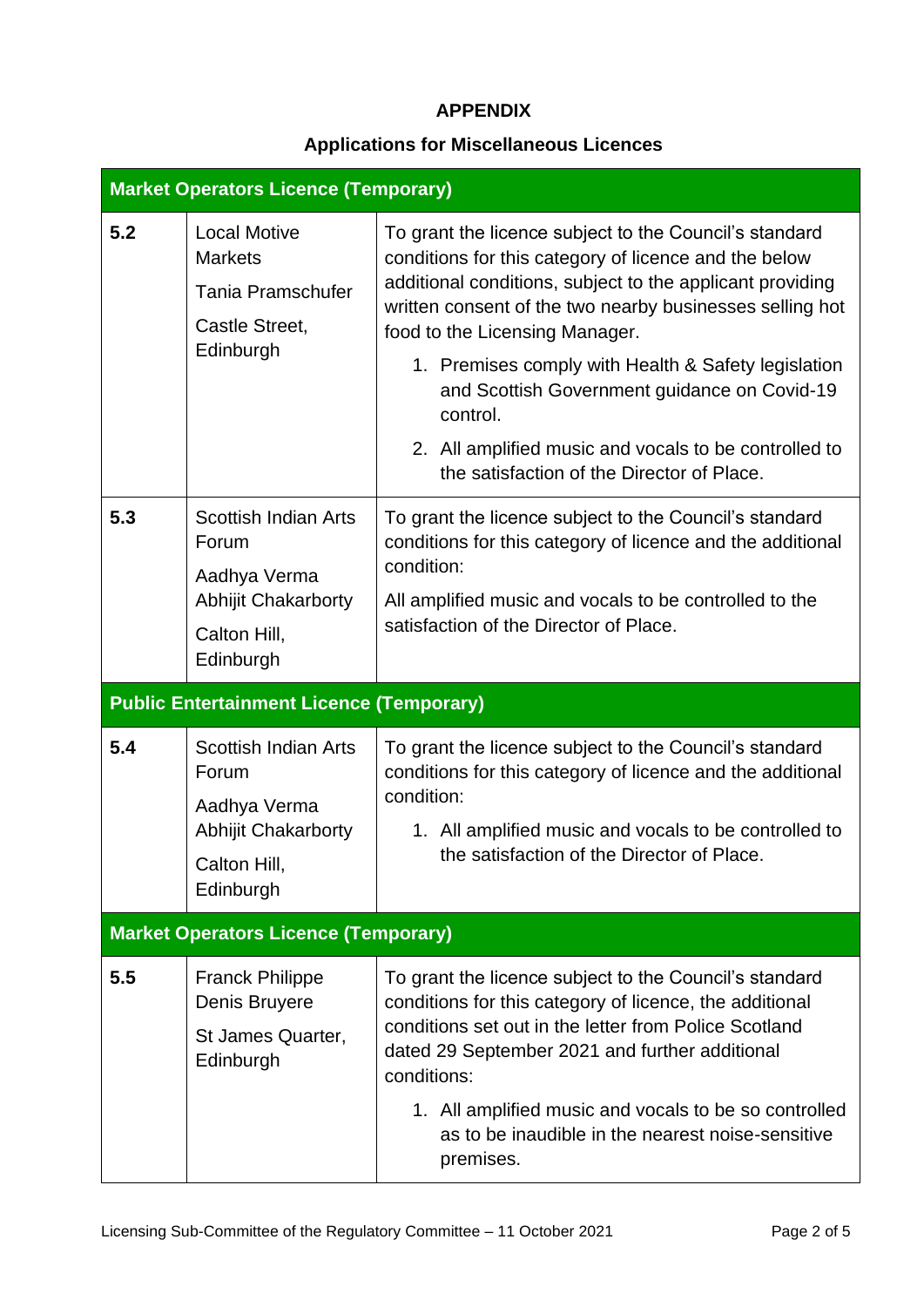#### **APPENDIX**

### **Applications for Miscellaneous Licences**

| <b>Market Operators Licence (Temporary)</b> |                                                                                                                 |                                                                                                                                                                                                                                                                                                                                                                                                                                                                                                      |  |  |  |
|---------------------------------------------|-----------------------------------------------------------------------------------------------------------------|------------------------------------------------------------------------------------------------------------------------------------------------------------------------------------------------------------------------------------------------------------------------------------------------------------------------------------------------------------------------------------------------------------------------------------------------------------------------------------------------------|--|--|--|
| 5.2                                         | <b>Local Motive</b><br><b>Markets</b><br><b>Tania Pramschufer</b><br>Castle Street,<br>Edinburgh                | To grant the licence subject to the Council's standard<br>conditions for this category of licence and the below<br>additional conditions, subject to the applicant providing<br>written consent of the two nearby businesses selling hot<br>food to the Licensing Manager.<br>1. Premises comply with Health & Safety legislation<br>and Scottish Government guidance on Covid-19<br>control.<br>2. All amplified music and vocals to be controlled to<br>the satisfaction of the Director of Place. |  |  |  |
| 5.3                                         | <b>Scottish Indian Arts</b><br>Forum<br>Aadhya Verma<br><b>Abhijit Chakarborty</b><br>Calton Hill,<br>Edinburgh | To grant the licence subject to the Council's standard<br>conditions for this category of licence and the additional<br>condition:<br>All amplified music and vocals to be controlled to the<br>satisfaction of the Director of Place.                                                                                                                                                                                                                                                               |  |  |  |
|                                             | <b>Public Entertainment Licence (Temporary)</b>                                                                 |                                                                                                                                                                                                                                                                                                                                                                                                                                                                                                      |  |  |  |
| 5.4                                         | <b>Scottish Indian Arts</b><br>Forum<br>Aadhya Verma<br><b>Abhijit Chakarborty</b><br>Calton Hill,<br>Edinburgh | To grant the licence subject to the Council's standard<br>conditions for this category of licence and the additional<br>condition:<br>1. All amplified music and vocals to be controlled to<br>the satisfaction of the Director of Place.                                                                                                                                                                                                                                                            |  |  |  |
|                                             | <b>Market Operators Licence (Temporary)</b>                                                                     |                                                                                                                                                                                                                                                                                                                                                                                                                                                                                                      |  |  |  |
| 5.5                                         | <b>Franck Philippe</b><br>Denis Bruyere<br>St James Quarter,<br>Edinburgh                                       | To grant the licence subject to the Council's standard<br>conditions for this category of licence, the additional<br>conditions set out in the letter from Police Scotland<br>dated 29 September 2021 and further additional<br>conditions:<br>1. All amplified music and vocals to be so controlled<br>as to be inaudible in the nearest noise-sensitive<br>premises.                                                                                                                               |  |  |  |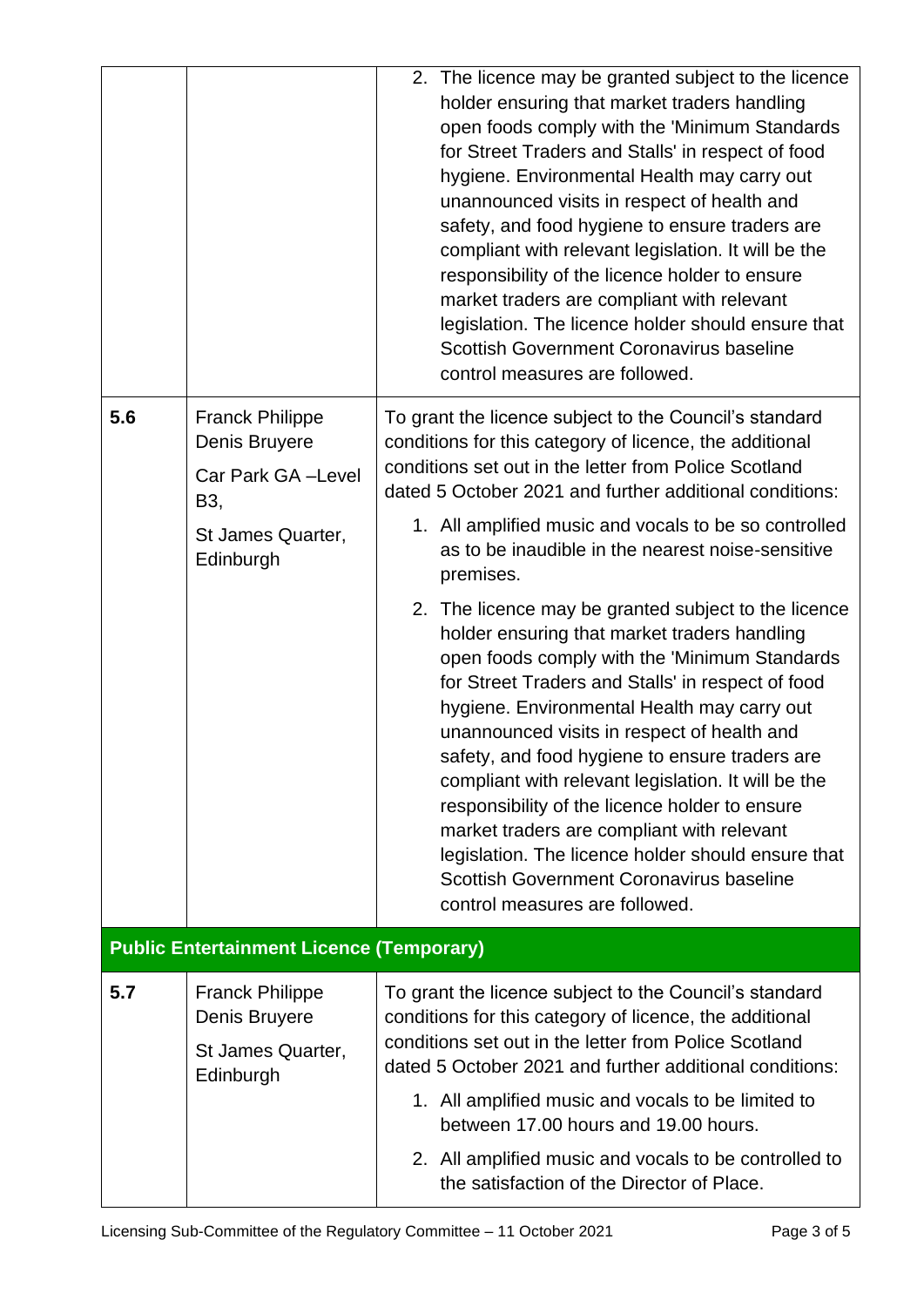|     |                                                                                                       | 2. The licence may be granted subject to the licence<br>holder ensuring that market traders handling<br>open foods comply with the 'Minimum Standards<br>for Street Traders and Stalls' in respect of food<br>hygiene. Environmental Health may carry out<br>unannounced visits in respect of health and<br>safety, and food hygiene to ensure traders are<br>compliant with relevant legislation. It will be the<br>responsibility of the licence holder to ensure<br>market traders are compliant with relevant<br>legislation. The licence holder should ensure that<br>Scottish Government Coronavirus baseline<br>control measures are followed.                                                                                                                                                                                                                                                                                                                                                                     |
|-----|-------------------------------------------------------------------------------------------------------|---------------------------------------------------------------------------------------------------------------------------------------------------------------------------------------------------------------------------------------------------------------------------------------------------------------------------------------------------------------------------------------------------------------------------------------------------------------------------------------------------------------------------------------------------------------------------------------------------------------------------------------------------------------------------------------------------------------------------------------------------------------------------------------------------------------------------------------------------------------------------------------------------------------------------------------------------------------------------------------------------------------------------|
| 5.6 | <b>Franck Philippe</b><br>Denis Bruyere<br>Car Park GA-Level<br>B3,<br>St James Quarter,<br>Edinburgh | To grant the licence subject to the Council's standard<br>conditions for this category of licence, the additional<br>conditions set out in the letter from Police Scotland<br>dated 5 October 2021 and further additional conditions:<br>1. All amplified music and vocals to be so controlled<br>as to be inaudible in the nearest noise-sensitive<br>premises.<br>2. The licence may be granted subject to the licence<br>holder ensuring that market traders handling<br>open foods comply with the 'Minimum Standards<br>for Street Traders and Stalls' in respect of food<br>hygiene. Environmental Health may carry out<br>unannounced visits in respect of health and<br>safety, and food hygiene to ensure traders are<br>compliant with relevant legislation. It will be the<br>responsibility of the licence holder to ensure<br>market traders are compliant with relevant<br>legislation. The licence holder should ensure that<br>Scottish Government Coronavirus baseline<br>control measures are followed. |
|     | <b>Public Entertainment Licence (Temporary)</b>                                                       |                                                                                                                                                                                                                                                                                                                                                                                                                                                                                                                                                                                                                                                                                                                                                                                                                                                                                                                                                                                                                           |
| 5.7 | <b>Franck Philippe</b><br>Denis Bruyere<br>St James Quarter,<br>Edinburgh                             | To grant the licence subject to the Council's standard<br>conditions for this category of licence, the additional<br>conditions set out in the letter from Police Scotland<br>dated 5 October 2021 and further additional conditions:<br>1. All amplified music and vocals to be limited to<br>between 17.00 hours and 19.00 hours.<br>2. All amplified music and vocals to be controlled to<br>the satisfaction of the Director of Place.                                                                                                                                                                                                                                                                                                                                                                                                                                                                                                                                                                                |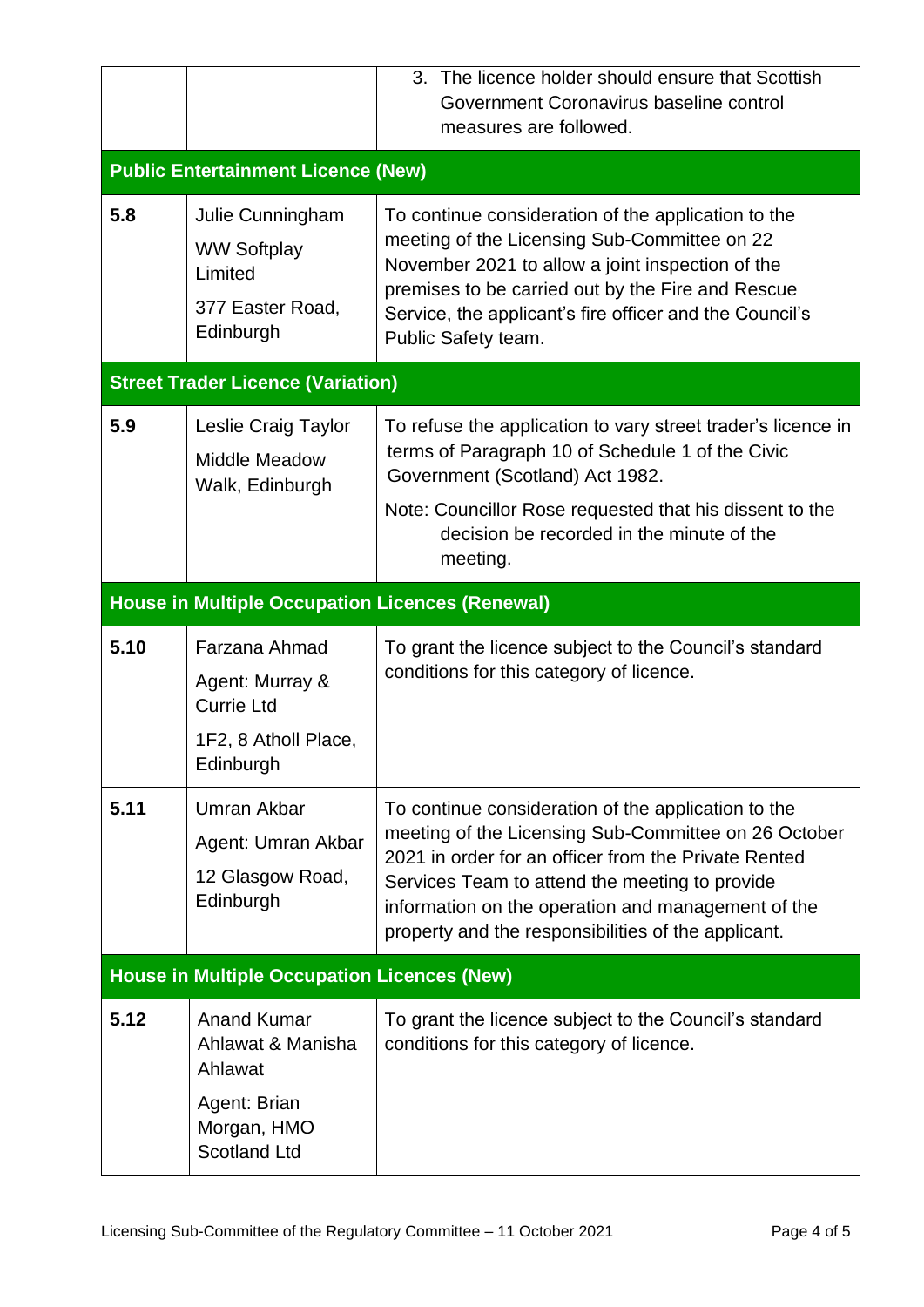|                                           |                                                                                            | 3. The licence holder should ensure that Scottish<br>Government Coronavirus baseline control<br>measures are followed.                                                                                                                                                                                                             |  |  |  |
|-------------------------------------------|--------------------------------------------------------------------------------------------|------------------------------------------------------------------------------------------------------------------------------------------------------------------------------------------------------------------------------------------------------------------------------------------------------------------------------------|--|--|--|
| <b>Public Entertainment Licence (New)</b> |                                                                                            |                                                                                                                                                                                                                                                                                                                                    |  |  |  |
| 5.8                                       | Julie Cunningham<br><b>WW Softplay</b><br>Limited<br>377 Easter Road,<br>Edinburgh         | To continue consideration of the application to the<br>meeting of the Licensing Sub-Committee on 22<br>November 2021 to allow a joint inspection of the<br>premises to be carried out by the Fire and Rescue<br>Service, the applicant's fire officer and the Council's<br>Public Safety team.                                     |  |  |  |
|                                           | <b>Street Trader Licence (Variation)</b>                                                   |                                                                                                                                                                                                                                                                                                                                    |  |  |  |
| 5.9                                       | Leslie Craig Taylor<br><b>Middle Meadow</b><br>Walk, Edinburgh                             | To refuse the application to vary street trader's licence in<br>terms of Paragraph 10 of Schedule 1 of the Civic<br>Government (Scotland) Act 1982.                                                                                                                                                                                |  |  |  |
|                                           |                                                                                            | Note: Councillor Rose requested that his dissent to the<br>decision be recorded in the minute of the<br>meeting.                                                                                                                                                                                                                   |  |  |  |
|                                           | <b>House in Multiple Occupation Licences (Renewal)</b>                                     |                                                                                                                                                                                                                                                                                                                                    |  |  |  |
|                                           |                                                                                            |                                                                                                                                                                                                                                                                                                                                    |  |  |  |
| 5.10                                      | Farzana Ahmad<br>Agent: Murray &<br><b>Currie Ltd</b><br>1F2, 8 Atholl Place,<br>Edinburgh | To grant the licence subject to the Council's standard<br>conditions for this category of licence.                                                                                                                                                                                                                                 |  |  |  |
| 5.11                                      | <b>Umran Akbar</b><br>Agent: Umran Akbar<br>12 Glasgow Road,<br>Edinburgh                  | To continue consideration of the application to the<br>meeting of the Licensing Sub-Committee on 26 October<br>2021 in order for an officer from the Private Rented<br>Services Team to attend the meeting to provide<br>information on the operation and management of the<br>property and the responsibilities of the applicant. |  |  |  |
|                                           | <b>House in Multiple Occupation Licences (New)</b>                                         |                                                                                                                                                                                                                                                                                                                                    |  |  |  |